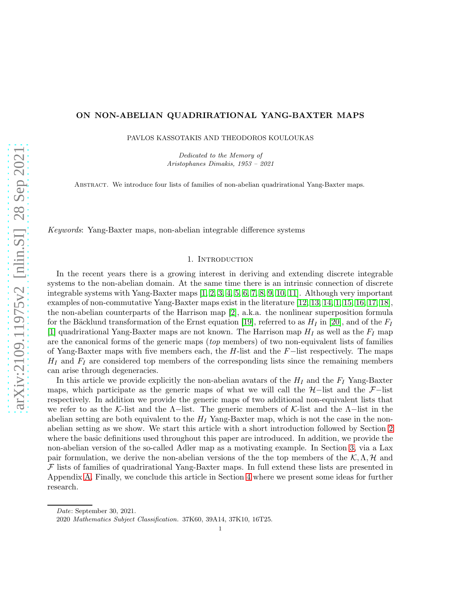## ON NON-ABELIAN QUADRIRATIONAL YANG-BAXTER MAPS

PAVLOS KASSOTAKIS AND THEODOROS KOULOUKAS

*Dedicated to the Memory of Aristophanes Dimakis, 1953 – 2021*

Abstract. We introduce four lists of families of non-abelian quadrirational Yang-Baxter maps.

Keywords: Yang-Baxter maps, non-abelian integrable difference systems

## 1. INTRODUCTION

In the recent years there is a growing interest in deriving and extending discrete integrable systems to the non-abelian domain. At the same time there is an intrinsic connection of discrete integrable systems with Yang-Baxter maps [\[1,](#page-11-0) [2,](#page-11-1) [3,](#page-11-2) [4,](#page-11-3) [5,](#page-11-4) [6,](#page-11-5) [7,](#page-11-6) [8,](#page-11-7) [9,](#page-11-8) [10,](#page-11-9) [11\]](#page-11-10). Although very important examples of non-commutative Yang-Baxter maps exist in the literature [\[12,](#page-11-11) [13,](#page-11-12) [14,](#page-11-13) [1,](#page-11-0) [15,](#page-11-14) [16,](#page-11-15) [17,](#page-11-16) [18\]](#page-12-0), the non-abelian counterparts of the Harrison map [\[2\]](#page-11-1), a.k.a. the nonlinear superposition formula for the Bäcklund transformation of the Ernst equation [\[19\]](#page-12-1), referred to as  $H_I$  in [\[20\]](#page-12-2), and of the  $F_I$ [\[1\]](#page-11-0) quadrirational Yang-Baxter maps are not known. The Harrison map  $H_I$  as well as the  $F_I$  map are the canonical forms of the generic maps (top members) of two non-equivalent lists of families of Yang-Baxter maps with five members each, the H-list and the F−list respectively. The maps  $H_I$  and  $F_I$  are considered top members of the corresponding lists since the remaining members can arise through degeneracies.

In this article we provide explicitly the non-abelian avatars of the  $H_I$  and the  $F_I$  Yang-Baxter maps, which participate as the generic maps of what we will call the  $H$ −list and the  $\mathcal{F}-$ list respectively. In addition we provide the generic maps of two additional non-equivalent lists that we refer to as the K-list and the  $\Lambda$ -list. The generic members of K-list and the  $\Lambda$ -list in the abelian setting are both equivalent to the  $H_I$  Yang-Baxter map, which is not the case in the nonabelian setting as we show. We start this article with a short introduction followed by Section [2](#page-1-0) where the basic definitions used throughout this paper are introduced. In addition, we provide the non-abelian version of the so-called Adler map as a motivating example. In Section [3,](#page-4-0) via a Lax pair formulation, we derive the non-abelian versions of the top members of the  $\mathcal{K}, \Lambda, \mathcal{H}$  and  $\mathcal F$  lists of families of quadrirational Yang-Baxter maps. In full extend these lists are presented in Appendix [A.](#page-8-0) Finally, we conclude this article in Section [4](#page-7-0) where we present some ideas for further research.

*Date*: September 30, 2021.

<sup>2020</sup> *Mathematics Subject Classification.* 37K60, 39A14, 37K10, 16T25.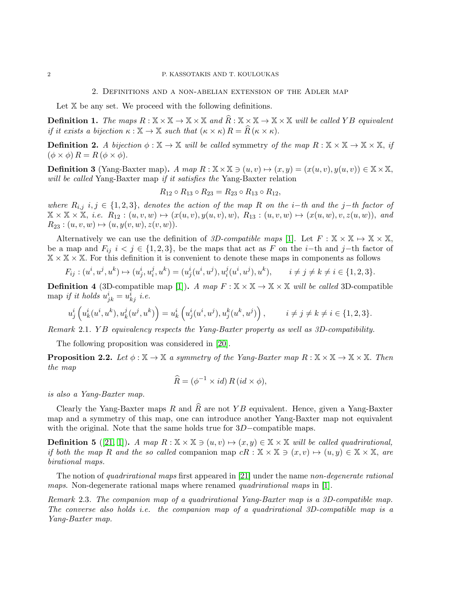### 2. Definitions and a non-abelian extension of the Adler map

<span id="page-1-0"></span>Let  $X$  be any set. We proceed with the following definitions.

**Definition 1.** The maps  $R : \mathbb{X} \times \mathbb{X} \to \mathbb{X} \times \mathbb{X}$  and  $\widehat{R} : \mathbb{X} \times \mathbb{X} \to \mathbb{X} \times \mathbb{X}$  will be called Y B equivalent if it exists a bijection  $\kappa : \mathbb{X} \to \mathbb{X}$  such that  $(\kappa \times \kappa) R = \widehat{R}(\kappa \times \kappa)$ .

**Definition 2.** A bijection  $\phi : \mathbb{X} \to \mathbb{X}$  will be called symmetry of the map  $R : \mathbb{X} \times \mathbb{X} \to \mathbb{X} \times \mathbb{X}$ , if  $(\phi \times \phi) R = R (\phi \times \phi).$ 

**Definition 3** (Yang-Baxter map). A map  $R : \mathbb{X} \times \mathbb{X} \ni (u, v) \mapsto (x, y) = (x(u, v), y(u, v)) \in \mathbb{X} \times \mathbb{X}$ , will be called Yang-Baxter map if it satisfies the Yang-Baxter relation

$$
R_{12} \circ R_{13} \circ R_{23} = R_{23} \circ R_{13} \circ R_{12},
$$

where  $R_{i,j}$  i,  $j \in \{1,2,3\}$ , denotes the action of the map R on the i–th and the j–th factor of  $\mathbb{X} \times \mathbb{X} \times \mathbb{X}$ , i.e.  $R_{12} : (u, v, w) \mapsto (x(u, v), y(u, v), w), R_{13} : (u, v, w) \mapsto (x(u, w), v, z(u, w)),$  and  $R_{23} : (u, v, w) \mapsto (u, y(v, w), z(v, w)).$ 

Alternatively we can use the definition of 3D-compatible maps [\[1\]](#page-11-0). Let  $F : \mathbb{X} \times \mathbb{X} \mapsto \mathbb{X} \times \mathbb{X}$ , be a map and  $F_{ij}$  i < j ∈ {1,2,3}, be the maps that act as F on the i–th and j–th factor of  $X \times X \times X$ . For this definition it is convenient to denote these maps in components as follows

$$
F_{ij} : (u^i, u^j, u^k) \mapsto (u^i_j, u^j_i, u^k) = (u^i_j(u^i, u^j), u^j_i(u^i, u^j), u^k), \qquad i \neq j \neq k \neq i \in \{1, 2, 3\}.
$$

**Definition 4** (3D-compatible map [\[1\]](#page-11-0)). A map  $F : \mathbb{X} \times \mathbb{X} \to \mathbb{X} \times \mathbb{X}$  will be called 3D-compatible map if it holds  $u_{jk}^i = u_{kj}^i$  i.e.

$$
u^i_j \left( u^i_k(u^i,u^k), u^j_k(u^j,u^k) \right) = u^i_k \left( u^i_j(u^i,u^j), u^k_j(u^k,u^j) \right), \qquad i \neq j \neq k \neq i \in \{1,2,3\}.
$$

Remark 2.1. YB equivalency respects the Yang-Baxter property as well as 3D-compatibility.

The following proposition was considered in [\[20\]](#page-12-2).

<span id="page-1-1"></span>**Proposition 2.2.** Let  $\phi : \mathbb{X} \to \mathbb{X}$  a symmetry of the Yang-Baxter map  $R : \mathbb{X} \times \mathbb{X} \to \mathbb{X} \times \mathbb{X}$ . Then the map

$$
\widehat{R} = (\phi^{-1} \times id) R (id \times \phi),
$$

is also a Yang-Baxter map.

Clearly the Yang-Baxter maps R and  $\widehat{R}$  are not YB equivalent. Hence, given a Yang-Baxter map and a symmetry of this map, one can introduce another Yang-Baxter map not equivalent with the original. Note that the same holds true for 3D−compatible maps.

**Definition 5** ([\[21,](#page-12-3) [1\]](#page-11-0)). A map  $R : \mathbb{X} \times \mathbb{X} \ni (u, v) \mapsto (x, y) \in \mathbb{X} \times \mathbb{X}$  will be called quadrirational, if both the map R and the so called companion map  $cR : \mathbb{X} \times \mathbb{X} \ni (x, v) \mapsto (u, y) \in \mathbb{X} \times \mathbb{X}$ , are birational maps.

The notion of *quadrirational maps* first appeared in [\[21\]](#page-12-3) under the name non-degenerate rational maps. Non-degenerate rational maps where renamed quadrivational maps in [\[1\]](#page-11-0).

Remark 2.3. The companion map of a quadrirational Yang-Baxter map is a 3D-compatible map. The converse also holds *i.e.* the companion map of a quadrirational 3D-compatible map is a Yang-Baxter map.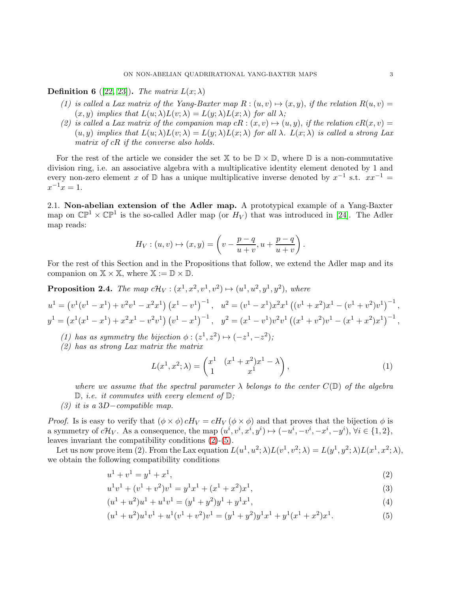**Definition 6** ([\[22,](#page-12-4) [23\]](#page-12-5)). The matrix  $L(x; \lambda)$ 

- (1) is called a Lax matrix of the Yang-Baxter map  $R : (u, v) \mapsto (x, y)$ , if the relation  $R(u, v) =$  $(x, y)$  implies that  $L(u; \lambda) L(v; \lambda) = L(y; \lambda) L(x; \lambda)$  for all  $\lambda$ ;
- (2) is called a Lax matrix of the companion map  $cR$ :  $(x, v) \mapsto (u, y)$ , if the relation  $cR(x, v) =$  $(u, y)$  implies that  $L(u; \lambda) L(v; \lambda) = L(y; \lambda) L(x; \lambda)$  for all  $\lambda$ .  $L(x; \lambda)$  is called a strong Lax matrix of cR if the converse also holds.

For the rest of the article we consider the set  $X$  to be  $\mathbb{D} \times \mathbb{D}$ , where  $\mathbb{D}$  is a non-commutative division ring, i.e. an associative algebra with a multiplicative identity element denoted by 1 and every non-zero element x of  $\mathbb D$  has a unique multiplicative inverse denoted by  $x^{-1}$  s.t.  $xx^{-1} =$  $x^{-1}x = 1.$ 

2.1. Non-abelian extension of the Adler map. A prototypical example of a Yang-Baxter map on  $\mathbb{CP}^1 \times \mathbb{CP}^1$  is the so-called Adler map (or  $H_V$ ) that was introduced in [\[24\]](#page-12-6). The Adler map reads:

$$
H_V: (u, v) \mapsto (x, y) = \left(v - \frac{p - q}{u + v}, u + \frac{p - q}{u + v}\right).
$$

For the rest of this Section and in the Propositions that follow, we extend the Adler map and its companion on  $\mathbb{X} \times \mathbb{X}$ , where  $\mathbb{X} := \mathbb{D} \times \mathbb{D}$ .

<span id="page-2-4"></span>**Proposition 2.4.** The map  $c\mathcal{H}_V : (x^1, x^2, v^1, v^2) \mapsto (u^1, u^2, y^1, y^2)$ , where

$$
u^{1} = (v^{1}(v^{1} - x^{1}) + v^{2}v^{1} - x^{2}x^{1}) (x^{1} - v^{1})^{-1}, \quad u^{2} = (v^{1} - x^{1})x^{2}x^{1} ((v^{1} + x^{2})x^{1} - (v^{1} + v^{2})v^{1})^{-1},
$$
  
\n
$$
y^{1} = (x^{1}(x^{1} - x^{1}) + x^{2}x^{1} - v^{2}v^{1}) (v^{1} - x^{1})^{-1}, \quad y^{2} = (x^{1} - v^{1})v^{2}v^{1} ((x^{1} + v^{2})v^{1} - (x^{1} + x^{2})x^{1})^{-1},
$$

- (1) has as symmetry the bijection  $\phi : (z^1, z^2) \mapsto (-z^1, -z^2);$
- (2) has as strong Lax matrix the matrix

<span id="page-2-3"></span><span id="page-2-2"></span><span id="page-2-0"></span>
$$
L(x^1, x^2; \lambda) = \begin{pmatrix} x^1 & (x^1 + x^2)x^1 - \lambda \\ 1 & x^1 \end{pmatrix},
$$
 (1)

where we assume that the spectral parameter  $\lambda$  belongs to the center  $C(\mathbb{D})$  of the algebra  $\mathbb{D}$ , *i.e.* it commutes with every element of  $\mathbb{D}$ ;

(3) it is a 3D−compatible map.

*Proof.* Is is easy to verify that  $(\phi \times \phi) cH_V = cH_V (\phi \times \phi)$  and that proves that the bijection  $\phi$  is a symmetry of  $c\mathcal{H}_V$ . As a consequence, the map  $(u^i, v^i, x^i, y^i) \mapsto (-u^i, -v^i, -x^i, -y^i), \forall i \in \{1, 2\},\$ leaves invariant the compatibility conditions [\(2\)](#page-2-0)-[\(5\)](#page-2-1).

Let us now prove item (2). From the Lax equation  $L(u^1, u^2; \lambda) L(v^1, v^2; \lambda) = L(y^1, y^2; \lambda) L(x^1, x^2; \lambda)$ , we obtain the following compatibility conditions

$$
u^1 + v^1 = y^1 + x^1,\tag{2}
$$

$$
u1v1 + (v1 + v2)v1 = y1x1 + (x1 + x2)x1,
$$
\n(3)

$$
(u1 + u2)u1 + u1v1 = (y1 + y2)y1 + y1x1,
$$
\n(4)

<span id="page-2-1"></span>
$$
(u1 + u2)u1v1 + u1(v1 + v2)v1 = (y1 + y2)y1x1 + y1(x1 + x2)x1.
$$
 (5)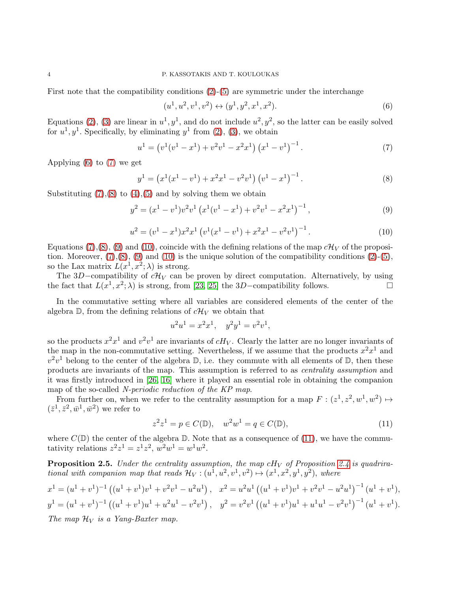First note that the compatibility conditions [\(2\)](#page-2-0)-[\(5\)](#page-2-1) are symmetric under the interchange

<span id="page-3-3"></span><span id="page-3-2"></span><span id="page-3-1"></span><span id="page-3-0"></span>
$$
(u^1, u^2, v^1, v^2) \leftrightarrow (y^1, y^2, x^1, x^2). \tag{6}
$$

Equations [\(2\)](#page-2-0), [\(3\)](#page-2-2) are linear in  $u^1, y^1$ , and do not include  $u^2, y^2$ , so the latter can be easily solved for  $u^1, y^1$ . Specifically, by eliminating  $y^1$  from [\(2\)](#page-2-0), [\(3\)](#page-2-2), we obtain

$$
u^{1} = (v^{1}(v^{1} - x^{1}) + v^{2}v^{1} - x^{2}x^{1}) (x^{1} - v^{1})^{-1}.
$$
 (7)

Applying [\(6\)](#page-3-0) to [\(7\)](#page-3-1) we get

$$
y^{1} = (x^{1}(x^{1} - v^{1}) + x^{2}x^{1} - v^{2}v^{1}) (v^{1} - x^{1})^{-1}.
$$
\n(8)

Substituting  $(7),(8)$  $(7),(8)$  to  $(4),(5)$  $(4),(5)$  and by solving them we obtain

$$
y^{2} = (x^{1} - v^{1})v^{2}v^{1} (x^{1}(v^{1} - x^{1}) + v^{2}v^{1} - x^{2}x^{1})^{-1},
$$
\n(9)

$$
u^{2} = (v^{1} - x^{1})x^{2}x^{1} (v^{1}(x^{1} - v^{1}) + x^{2}x^{1} - v^{2}v^{1})^{-1}.
$$
\n(10)

Equations [\(7\)](#page-3-1),[\(8\)](#page-3-2), [\(9\)](#page-3-3) and [\(10\)](#page-3-4), coincide with the defining relations of the map  $c\mathcal{H}_V$  of the proposition. Moreover,  $(7), (8), (9)$  $(7), (8), (9)$  $(7), (8), (9)$  $(7), (8), (9)$  and  $(10)$  is the unique solution of the compatibility conditions  $(2)-(5)$  $(2)-(5)$ , so the Lax matrix  $L(x^1, x^2; \lambda)$  is strong.

The 3D–compatibility of  $c\mathcal{H}_V$  can be proven by direct computation. Alternatively, by using the fact that  $L(x^1, x^2; \lambda)$  is strong, from [\[23,](#page-12-5) [25\]](#page-12-7) the 3D-compatibility follows.

In the commutative setting where all variables are considered elements of the center of the algebra  $\mathbb{D}$ , from the defining relations of  $c\mathcal{H}_V$  we obtain that

<span id="page-3-4"></span>
$$
u^2u^1 = x^2x^1, \quad y^2y^1 = v^2v^1,
$$

so the products  $x^2x^1$  and  $v^2v^1$  are invariants of  $cH_V$ . Clearly the latter are no longer invariants of the map in the non-commutative setting. Nevertheless, if we assume that the products  $x^2x^1$  and  $v^2v^1$  belong to the center of the algebra  $\mathbb{D}$ , i.e. they commute with all elements of  $\mathbb{D}$ , then these products are invariants of the map. This assumption is referred to as centrality assumption and it was firstly introduced in [\[26,](#page-12-8) [16\]](#page-11-15) where it played an essential role in obtaining the companion map of the so-called N-periodic reduction of the KP map.

From further on, when we refer to the centrality assumption for a map  $F : (z^1, z^2, w^1, w^2) \mapsto$  $(\bar{z}^1, \bar{z}^2, \bar{w}^1, \bar{w}^2)$  we refer to

<span id="page-3-5"></span>
$$
z^{2}z^{1} = p \in C(\mathbb{D}), \quad w^{2}w^{1} = q \in C(\mathbb{D}), \tag{11}
$$

where  $C(\mathbb{D})$  the center of the algebra  $\mathbb{D}$ . Note that as a consequence of [\(11\)](#page-3-5), we have the commutativity relations  $z^2 z^1 = z^1 z^2$ ,  $w^2 w^1 = w^1 w^2$ .

**Proposition 2.5.** Under the centrality assumption, the map  $cH_V$  of Proposition [2.4](#page-2-4) is quadrirational with companion map that reads  $\mathcal{H}_V : (u^1, u^2, v^1, v^2) \mapsto (x^1, x^2, y^1, y^2)$ , where

$$
x^{1} = (u^{1} + v^{1})^{-1} ((u^{1} + v^{1})v^{1} + v^{2}v^{1} - u^{2}u^{1}), \quad x^{2} = u^{2}u^{1} ((u^{1} + v^{1})v^{1} + v^{2}v^{1} - u^{2}u^{1})^{-1} (u^{1} + v^{1}),
$$
  
\n
$$
y^{1} = (u^{1} + v^{1})^{-1} ((u^{1} + v^{1})u^{1} + u^{2}u^{1} - v^{2}v^{1}), \quad y^{2} = v^{2}v^{1} ((u^{1} + v^{1})u^{1} + u^{1}u^{1} - v^{2}v^{1})^{-1} (u^{1} + v^{1}).
$$
  
\nThis means 2<sup>t</sup> is a Vence-Bartre mean

The map  $\mathcal{H}_V$  is a Yang-Baxter map.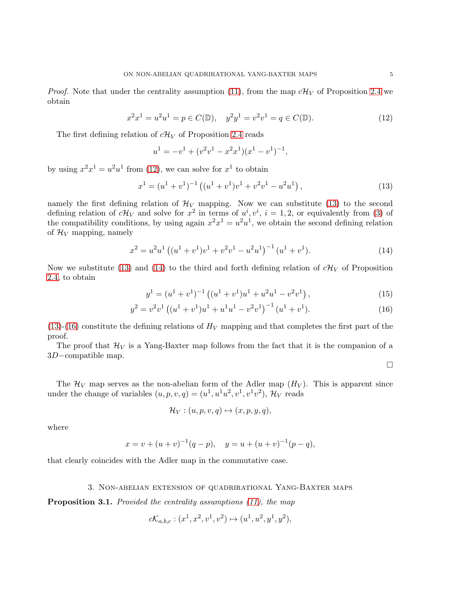*Proof.* Note that under the centrality assumption [\(11\)](#page-3-5), from the map  $c\mathcal{H}_V$  of Proposition [2.4](#page-2-4) we obtain

$$
x^{2}x^{1} = u^{2}u^{1} = p \in C(\mathbb{D}), \quad y^{2}y^{1} = v^{2}v^{1} = q \in C(\mathbb{D}).
$$
\n(12)

The first defining relation of  $c\mathcal{H}_V$  of Proposition [2.4](#page-2-4) reads

<span id="page-4-1"></span>
$$
u^{1} = -v^{1} + (v^{2}v^{1} - x^{2}x^{1})(x^{1} - v^{1})^{-1},
$$

by using  $x^2x^1 = u^2u^1$  from [\(12\)](#page-4-1), we can solve for  $x^1$  to obtain

$$
x^{1} = (u^{1} + v^{1})^{-1} ((u^{1} + v^{1})v^{1} + v^{2}v^{1} - u^{2}u^{1}),
$$
\n(13)

namely the first defining relation of  $\mathcal{H}_V$  mapping. Now we can substitute [\(13\)](#page-4-2) to the second defining relation of  $c\mathcal{H}_V$  and solve for  $x^2$  in terms of  $u^i, v^i, i = 1, 2$ , or equivalently from [\(3\)](#page-2-2) of the compatibility conditions, by using again  $x^2x^1 = u^2u^1$ , we obtain the second defining relation of  $\mathcal{H}_V$  mapping, namely

$$
x^{2} = u^{2}u^{1} \left( (u^{1} + v^{1})v^{1} + v^{2}v^{1} - u^{2}u^{1} \right)^{-1} (u^{1} + v^{1}). \tag{14}
$$

Now we substitute [\(13\)](#page-4-2) and [\(14\)](#page-4-3) to the third and forth defining relation of  $c\mathcal{H}_V$  of Proposition [2.4,](#page-2-4) to obtain

$$
y^{1} = (u^{1} + v^{1})^{-1} ((u^{1} + v^{1})u^{1} + u^{2}u^{1} - v^{2}v^{1}), \qquad (15)
$$

$$
y^{2} = v^{2}v^{1} \left( (u^{1} + v^{1})u^{1} + u^{1}u^{1} - v^{2}v^{1} \right)^{-1} (u^{1} + v^{1}). \tag{16}
$$

 $(13)-(16)$  $(13)-(16)$  $(13)-(16)$  constitute the defining relations of  $H_V$  mapping and that completes the first part of the proof.

The proof that  $\mathcal{H}_V$  is a Yang-Baxter map follows from the fact that it is the companion of a 3D−compatible map.

<span id="page-4-4"></span><span id="page-4-3"></span><span id="page-4-2"></span> $\Box$ 

The  $\mathcal{H}_V$  map serves as the non-abelian form of the Adler map  $(H_V)$ . This is apparent since under the change of variables  $(u, p, v, q) = (u^1, u^1u^2, v^1, v^1v^2), \mathcal{H}_V$  reads

$$
\mathcal{H}_V: (u, p, v, q) \mapsto (x, p, y, q),
$$

where

$$
x = v + (u + v)^{-1}(q - p),
$$
  $y = u + (u + v)^{-1}(p - q),$ 

<span id="page-4-0"></span>that clearly coincides with the Adler map in the commutative case.

#### 3. Non-abelian extension of quadrirational Yang-Baxter maps

**Proposition 3.1.** Provided the centrality assumptions [\(11\)](#page-3-5), the map

$$
c\mathcal{K}_{a,b,c}: (x^1, x^2, v^1, v^2) \mapsto (u^1, u^2, y^1, y^2),
$$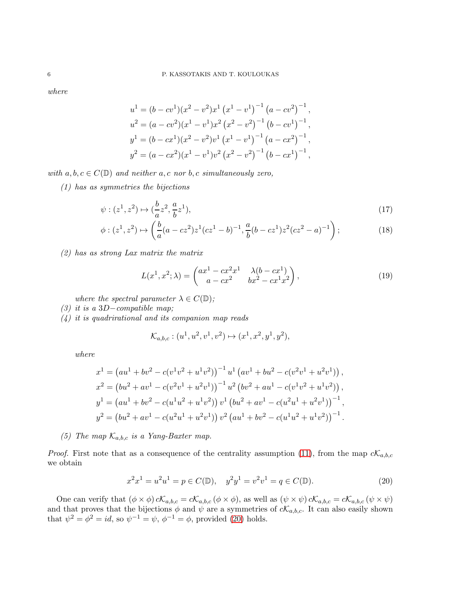where

$$
u^{1} = (b - cv^{1})(x^{2} - v^{2})x^{1} (x^{1} - v^{1})^{-1} (a - cv^{2})^{-1},
$$
  
\n
$$
u^{2} = (a - cv^{2})(x^{1} - v^{1})x^{2} (x^{2} - v^{2})^{-1} (b - cv^{1})^{-1},
$$
  
\n
$$
y^{1} = (b - cx^{1})(x^{2} - v^{2})v^{1} (x^{1} - v^{1})^{-1} (a - cx^{2})^{-1},
$$
  
\n
$$
y^{2} = (a - cx^{2})(x^{1} - v^{1})v^{2} (x^{2} - v^{2})^{-1} (b - cx^{1})^{-1},
$$

with  $a, b, c \in C(\mathbb{D})$  and neither  $a, c$  nor  $b, c$  simultaneously zero,

(1) has as symmetries the bijections

$$
\psi : (z^1, z^2) \mapsto (\frac{b}{a}z^2, \frac{a}{b}z^1), \tag{17}
$$

$$
\phi: (z^1, z^2) \mapsto \left(\frac{b}{a}(a - cz^2)z^1(cz^1 - b)^{-1}, \frac{a}{b}(b - cz^1)z^2(cz^2 - a)^{-1}\right);
$$
\n(18)

(2) has as strong Lax matrix the matrix

$$
L(x^{1}, x^{2}; \lambda) = \begin{pmatrix} ax^{1} - cx^{2}x^{1} & \lambda(b - cx^{1}) \\ a - cx^{2} & bx^{2} - cx^{1}x^{2} \end{pmatrix},
$$
\n(19)

where the spectral parameter  $\lambda \in C(\mathbb{D})$ ;

- (3) it is a 3D−compatible map;
- (4) it is quadrirational and its companion map reads

<span id="page-5-1"></span>
$$
\mathcal{K}_{a,b,c}: (u^1, u^2, v^1, v^2) \mapsto (x^1, x^2, y^1, y^2),
$$

where

$$
x^{1} = (au^{1} + bv^{2} - c(v^{1}v^{2} + u^{1}v^{2}))^{-1}u^{1}(av^{1} + bu^{2} - c(v^{2}v^{1} + u^{2}v^{1})),
$$
  
\n
$$
x^{2} = (bu^{2} + av^{1} - c(v^{2}v^{1} + u^{2}v^{1}))^{-1}u^{2}(bv^{2} + au^{1} - c(v^{1}v^{2} + u^{1}v^{2})),
$$
  
\n
$$
y^{1} = (au^{1} + bv^{2} - c(u^{1}u^{2} + u^{1}v^{2}))v^{1}(bu^{2} + av^{1} - c(u^{2}u^{1} + u^{2}v^{1}))^{-1},
$$
  
\n
$$
y^{2} = (bu^{2} + av^{1} - c(u^{2}u^{1} + u^{2}v^{1}))v^{2}(au^{1} + bv^{2} - c(u^{1}u^{2} + u^{1}v^{2}))^{-1}.
$$

(5) The map  $\mathcal{K}_{a,b,c}$  is a Yang-Baxter map.

*Proof.* First note that as a consequence of the centrality assumption [\(11\)](#page-3-5), from the map  $c\mathcal{K}_{a,b,c}$ we obtain

<span id="page-5-0"></span>
$$
x^{2}x^{1} = u^{2}u^{1} = p \in C(\mathbb{D}), \quad y^{2}y^{1} = v^{2}v^{1} = q \in C(\mathbb{D}).
$$
\n(20)

One can verify that  $(\phi \times \phi) cK_{a,b,c} = cK_{a,b,c} (\phi \times \phi)$ , as well as  $(\psi \times \psi) cK_{a,b,c} = cK_{a,b,c} (\psi \times \psi)$ and that proves that the bijections  $\phi$  and  $\psi$  are a symmetries of  $c\mathcal{K}_{a,b,c}$ . It can also easily shown that  $\psi^2 = \phi^2 = id$ , so  $\psi^{-1} = \psi$ ,  $\phi^{-1} = \phi$ , provided [\(20\)](#page-5-0) holds.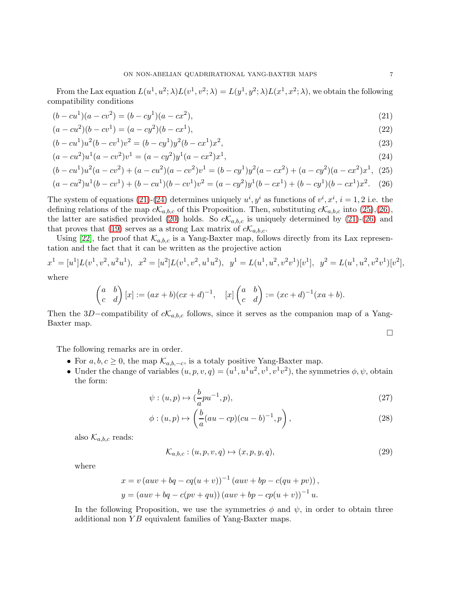From the Lax equation  $L(u^1, u^2; \lambda) L(v^1, v^2; \lambda) = L(y^1, y^2; \lambda) L(x^1, x^2; \lambda)$ , we obtain the following compatibility conditions

$$
(b - cu1)(a - cv2) = (b - cy1)(a - cx2),
$$
\n(21)

$$
(a - cu2)(b - cv1) = (a - cy2)(b - cx1),
$$
\n(22)

$$
(b - cu1)u2(b - cv1)v2 = (b - cy1)y2(b - cx1)x2,
$$
\n(23)

$$
(a - cu2)u1(a - cv2)v1 = (a - cy2)y1(a - cx2)x1,
$$
\n(24)

$$
(b - cu1)u2(a - cv2) + (a - cu2)(a - cv2)v1 = (b - cy1)y2(a - cx2) + (a - cy2)(a - cx2)x1,
$$
 (25)

$$
(a - cu2)u1(b - cv1) + (b - cu1)(b - cv1)v2 = (a - cy2)y1(b - cx1) + (b - cy1)(b - cx1)x2.
$$
 (26)

The system of equations [\(21\)](#page-6-0)-[\(24\)](#page-6-1) determines uniquely  $u^i, y^i$  as functions of  $v^i, x^i, i = 1, 2$  i.e. the defining relations of the map  $c\mathcal{K}_{a,b,c}$  of this Proposition. Then, substituting  $c\mathcal{K}_{a,b,c}$  into [\(25\)](#page-6-2),[\(26\)](#page-6-3), the latter are satisfied provided [\(20\)](#page-5-0) holds. So  $c\mathcal{K}_{a,b,c}$  is uniquely determined by [\(21\)](#page-6-0)-[\(26\)](#page-6-3) and that proves that [\(19\)](#page-5-1) serves as a strong Lax matrix of  $c\mathcal{K}_{a,b,c}$ .

Using [\[22\]](#page-12-4), the proof that  $\mathcal{K}_{a,b,c}$  is a Yang-Baxter map, follows directly from its Lax representation and the fact that it can be written as the projective action

$$
x^{1} = [u^{1}]L(v^{1}, v^{2}, u^{2}u^{1}), x^{2} = [u^{2}]L(v^{1}, v^{2}, u^{1}u^{2}), y^{1} = L(u^{1}, u^{2}, v^{2}v^{1})[v^{1}], y^{2} = L(u^{1}, u^{2}, v^{2}v^{1})[v^{2}],
$$
  
where

where

$$
\begin{pmatrix} a & b \ c & d \end{pmatrix} [x] := (ax+b)(cx+d)^{-1}, \quad [x] \begin{pmatrix} a & b \ c & d \end{pmatrix} := (xc+d)^{-1}(xa+b).
$$

Then the 3D–compatibility of  $cK_{a,b,c}$  follows, since it serves as the companion map of a Yang-Baxter map.

<span id="page-6-6"></span><span id="page-6-5"></span><span id="page-6-4"></span><span id="page-6-3"></span><span id="page-6-2"></span><span id="page-6-1"></span><span id="page-6-0"></span>
$$
\Box
$$

The following remarks are in order.

- For  $a, b, c \geq 0$ , the map  $\mathcal{K}_{a,b,-c}$ , is a totaly positive Yang-Baxter map.
- Under the change of variables  $(u, p, v, q) = (u^1, u^1u^2, v^1, v^1v^2)$ , the symmetries  $\phi, \psi$ , obtain the form:

$$
\psi : (u, p) \mapsto (\frac{b}{a}pu^{-1}, p), \tag{27}
$$

$$
\phi: (u, p) \mapsto \left(\frac{b}{a}(au - cp)(cu - b)^{-1}, p\right),\tag{28}
$$

also  $\mathcal{K}_{a,b,c}$  reads:

$$
\mathcal{K}_{a,b,c}: (u, p, v, q) \mapsto (x, p, y, q), \tag{29}
$$

where

$$
x = v (auv + bq - cq(u + v))^{-1} (auv + bp - c(qu + pv)),
$$
  

$$
y = (auv + bq - c(pv + qu)) (auv + bp - cp(u + v))^{-1} u.
$$

In the following Proposition, we use the symmetries  $\phi$  and  $\psi$ , in order to obtain three additional non  $YB$  equivalent families of Yang-Baxter maps.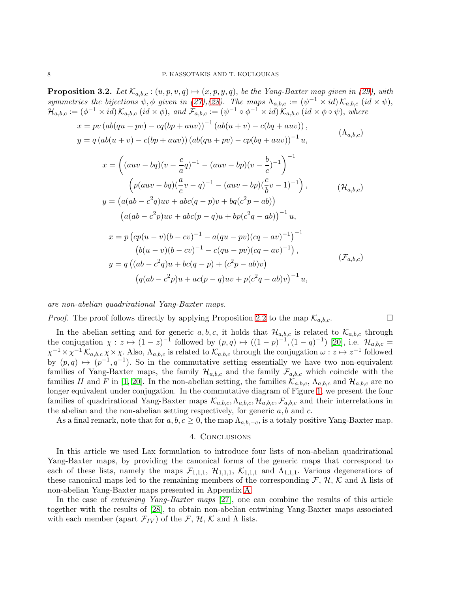<span id="page-7-1"></span>**Proposition 3.2.** Let  $\mathcal{K}_{a,b,c}$ :  $(u, p, v, q) \mapsto (x, p, y, q)$ , be the Yang-Baxter map given in [\(29\)](#page-6-4), with symmetries the bijections  $\psi$ ,  $\phi$  given in [\(27\)](#page-6-5),[\(28\)](#page-6-6). The maps  $\Lambda_{a,b,c} := (\psi^{-1} \times id) \mathcal{K}_{a,b,c}$  (id  $\times \psi$ ),  $\mathcal{H}_{a,b,c} := (\phi^{-1} \times id) \mathcal{K}_{a,b,c}$  (id  $\times \phi$ ), and  $\mathcal{F}_{a,b,c} := (\psi^{-1} \circ \phi^{-1} \times id) \mathcal{K}_{a,b,c}$  (id  $\times \phi \circ \psi$ ), where

$$
x = pv (ab(qu + pv) - cq(bp + aw))^{-1} (ab(u + v) - c(bq + aw)),
$$
  
\n
$$
y = q (ab(u + v) - c(bp + aw)) (ab(qu + pv) - cp(bq + aw))^{-1} u,
$$
  
\n
$$
x = \left( (aw - bq)(v - \frac{c}{a}q)^{-1} - (aw - bp)(v - \frac{b}{c})^{-1} \right)^{-1}
$$
  
\n
$$
\left( p(aw - bq)(\frac{a}{c}v - q)^{-1} - (aw - bp)(\frac{c}{b}v - 1)^{-1} \right),
$$
  
\n
$$
y = (a(ab - c^2q)uv + abc(q - p)v + bq(c^2p - ab))
$$
  
\n
$$
(a(ab - c^2p)uv + abc(p - q)u + bp(c^2q - ab))^{-1} u,
$$
  
\n
$$
x = p (cp(u - v)(b - cv)^{-1} - a(qu - pv)(cq - av)^{-1})^{-1}
$$
  
\n
$$
(b(u - v)(b - cv)^{-1} - c(qu - pv)(cq - av)^{-1}),
$$
  
\n
$$
y = q ((ab - c^2q)u + bc(q - p) + (c^2p - ab)v)
$$
  
\n
$$
(q(ab - c^2p)u + ac(p - q)uv + p(c^2q - ab)v)^{-1}u,
$$
  
\n(F<sub>a,b,c</sub>)

are non-abelian quadrirational Yang-Baxter maps.

*Proof.* The proof follows directly by applying Proposition [2.2](#page-1-1) to the map  $\mathcal{K}_{a,b,c}$ .

In the abelian setting and for generic a, b, c, it holds that  $\mathcal{H}_{a,b,c}$  is related to  $\mathcal{K}_{a,b,c}$  through the conjugation  $\chi: z \mapsto (1-z)^{-1}$  followed by  $(p,q) \mapsto ((1-p)^{-1}, (1-q)^{-1})$  [\[20\]](#page-12-2), i.e.  $\mathcal{H}_{a,b,c}$  $\chi^{-1} \times \chi^{-1} \mathcal{K}_{a,b,c} \chi \times \chi$ . Also,  $\Lambda_{a,b,c}$  is related to  $\mathcal{K}_{a,b,c}$  through the conjugation  $\omega : z \mapsto z^{-1}$  followed by  $(p,q) \mapsto (p^{-1}, q^{-1})$ . So in the commutative setting essentially we have two non-equivalent families of Yang-Baxter maps, the family  $\mathcal{H}_{a,b,c}$  and the family  $\mathcal{F}_{a,b,c}$  which coincide with the families H and F in [\[1,](#page-11-0) [20\]](#page-12-2). In the non-abelian setting, the families  $\mathcal{K}_{a,b,c}$ ,  $\Lambda_{a,b,c}$  and  $\mathcal{H}_{a,b,c}$  are no longer equivalent under conjugation. In the commutative diagram of Figure [1,](#page-8-1) we present the four families of quadrirational Yang-Baxter maps  $\mathcal{K}_{a,b,c}, \Lambda_{a,b,c}, \mathcal{H}_{a,b,c}, \mathcal{F}_{a,b,c}$  and their interrelations in the abelian and the non-abelian setting respectively, for generic  $a, b$  and  $c$ .

<span id="page-7-0"></span>As a final remark, note that for  $a, b, c \ge 0$ , the map  $\Lambda_{a,b,-c}$ , is a totaly positive Yang-Baxter map.

### 4. Conclusions

In this article we used Lax formulation to introduce four lists of non-abelian quadrirational Yang-Baxter maps, by providing the canonical forms of the generic maps that correspond to each of these lists, namely the maps  $\mathcal{F}_{1,1,1}$ ,  $\mathcal{H}_{1,1,1}$ ,  $\mathcal{K}_{1,1,1}$  and  $\Lambda_{1,1,1}$ . Various degenerations of these canonical maps led to the remaining members of the corresponding  $\mathcal{F}, \mathcal{H}, \mathcal{K}$  and  $\Lambda$  lists of non-abelian Yang-Baxter maps presented in Appendix [A.](#page-8-0)

In the case of entwining Yang-Baxter maps [\[27\]](#page-12-9), one can combine the results of this article together with the results of [\[28\]](#page-12-10), to obtain non-abelian entwining Yang-Baxter maps associated with each member (apart  $\mathcal{F}_{IV}$ ) of the  $\mathcal{F}, \mathcal{H}, \mathcal{K}$  and  $\Lambda$  lists.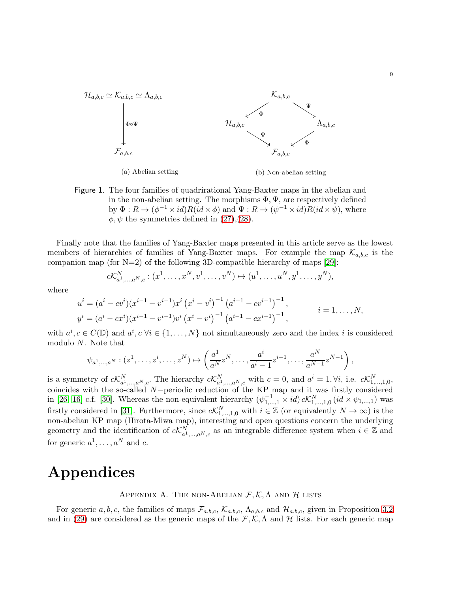

<span id="page-8-1"></span>Figure 1. The four families of quadrirational Yang-Baxter maps in the abelian and in the non-abelian setting. The morphisms  $\Phi, \Psi$ , are respectively defined by  $\Phi: R \to (\phi^{-1} \times id)R(\check{id} \times \phi)$  and  $\Psi: R \to (\psi^{-1} \times id)R(id \times \check{\psi})$ , where  $\phi, \psi$  the symmetries defined in [\(27\)](#page-6-5),[\(28\)](#page-6-6).

Finally note that the families of Yang-Baxter maps presented in this article serve as the lowest members of hierarchies of families of Yang-Baxter maps. For example the map  $\mathcal{K}_{a,b,c}$  is the companion map (for  $N=2$ ) of the following 3D-compatible hierarchy of maps [\[29\]](#page-12-11):

$$
c\mathcal{K}_{a^1,...,a^N,c}^N : (x^1,...,x^N,v^1,...,v^N) \mapsto (u^1,...,u^N,y^1,...,y^N),
$$

where

$$
u^{i} = (a^{i} - cv^{i})(x^{i-1} - v^{i-1})x^{i} (x^{i} - v^{i})^{-1} (a^{i-1} - cv^{i-1})^{-1},
$$
  
\n
$$
y^{i} = (a^{i} - cx^{i})(x^{i-1} - v^{i-1})v^{i} (x^{i} - v^{i})^{-1} (a^{i-1} - cx^{i-1})^{-1},
$$
  
\n $i = 1,..., N,$ 

with  $a^i, c \in C(\mathbb{D})$  and  $a^i, c \forall i \in \{1, ..., N\}$  not simultaneously zero and the index i is considered modulo N. Note that

$$
\psi_{a^1,...,a^N} : (z^1, \dots, z^i, \dots, z^N) \mapsto \left( \frac{a^1}{a^N} z^N, \dots, \frac{a^i}{a^i - 1} z^{i-1}, \dots, \frac{a^N}{a^{N-1}} z^{N-1} \right),
$$

is a symmetry of  $c\mathcal{K}_{a^1,\dots,a^N,c}^N$ . The hierarchy  $c\mathcal{K}_{a^1,\dots,a^N,c}^N$  with  $c=0$ , and  $a^i=1,\forall i$ , i.e.  $c\mathcal{K}_{1,\dots,1,0}^N$ , coincides with the so-called N−periodic reduction of the KP map and it was firstly considered in [\[26,](#page-12-8) [16\]](#page-11-15) c.f. [\[30\]](#page-12-12). Whereas the non-equivalent hierarchy  $(\psi_{1,\dots,1}^{-1} \times id) c\mathcal{K}_{1,\dots,1,0}^{N}$   $(id \times \psi_{1,\dots,1})$  was firstly considered in [\[31\]](#page-12-13). Furthermore, since  $c\mathcal{K}_{1,\dots,1,0}^N$  with  $i \in \mathbb{Z}$  (or equivalently  $N \to \infty$ ) is the non-abelian KP map (Hirota-Miwa map), interesting and open questions concern the underlying geometry and the identification of  $c\mathcal{K}_{a^1,\dots,a^N,c}^N$  as an integrable difference system when  $i \in \mathbb{Z}$  and for generic  $a^1, \ldots, a^N$  and c.

# <span id="page-8-0"></span>Appendices

## APPENDIX A. THE NON-ABELIAN  $\mathcal{F}, \mathcal{K}, \Lambda$  and  $\mathcal{H}$  lists

For generic a, b, c, the families of maps  $\mathcal{F}_{a,b,c}$ ,  $\mathcal{K}_{a,b,c}$ ,  $\Lambda_{a,b,c}$  and  $\mathcal{H}_{a,b,c}$ , given in Proposition [3.2](#page-7-1) and in [\(29\)](#page-6-4) are considered as the generic maps of the  $\mathcal{F}, \mathcal{K}, \Lambda$  and  $\mathcal{H}$  lists. For each generic map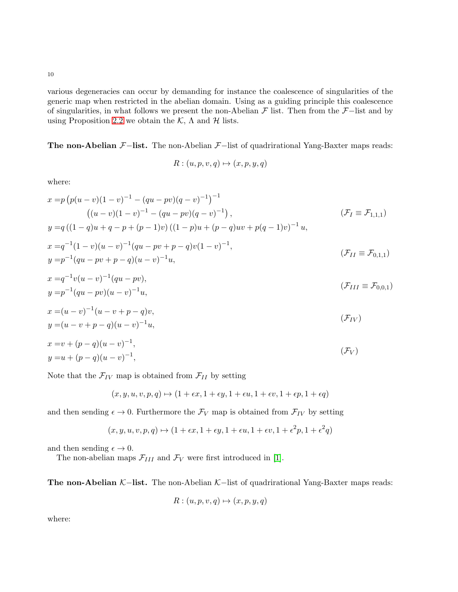various degeneracies can occur by demanding for instance the coalescence of singularities of the generic map when restricted in the abelian domain. Using as a guiding principle this coalescence of singularities, in what follows we present the non-Abelian  $\mathcal F$  list. Then from the  $\mathcal F$ −list and by using Proposition [2.2](#page-1-1) we obtain the  $K$ ,  $\Lambda$  and  $\mathcal{H}$  lists.

The non-Abelian  $\mathcal{F}-$ list. The non-Abelian  $\mathcal{F}-$ list of quadrirational Yang-Baxter maps reads:

$$
R: (u, p, v, q) \mapsto (x, p, y, q)
$$

where:

$$
x = p (p(u - v)(1 - v)^{-1} - (qu - pv)(q - v)^{-1})^{-1}
$$
  
\n
$$
((u - v)(1 - v)^{-1} - (qu - pv)(q - v)^{-1}),
$$
  
\n
$$
y = q ((1 - q)u + q - p + (p - 1)v) ((1 - p)u + (p - q)uv + p(q - 1)v)^{-1}u,
$$
  
\n
$$
x = q^{-1}(1 - v)(u - v)^{-1}(qu - pv + p - q)v(1 - v)^{-1},
$$
  
\n
$$
y = p^{-1}(qu - pv + p - q)(u - v)^{-1}u,
$$
  
\n
$$
x = q^{-1}v(u - v)^{-1}(qu - pv),
$$
  
\n
$$
(T - q)u + q(v - v)^{-1}(qu - pv)u
$$

$$
x = q^{-v}(u - v)^{-1}(qu - pv),
$$
  
\n
$$
y = p^{-1}(qu - pv)(u - v)^{-1}u,
$$
\n
$$
(F_{III} \equiv F_{0,0,1})
$$

$$
x = (u - v)^{-1} (u - v + p - q)v,
$$
  
\n
$$
y = (u - v + p - q)(u - v)^{-1}u,
$$
\n
$$
(F_{IV})
$$

$$
x = v + (p - q)(u - v)^{-1},
$$
  
\n
$$
y = u + (p - q)(u - v)^{-1},
$$
\n
$$
(F_V)
$$

Note that the  $\mathcal{F}_{IV}$  map is obtained from  $\mathcal{F}_{II}$  by setting

$$
(x, y, u, v, p, q) \mapsto (1 + \epsilon x, 1 + \epsilon y, 1 + \epsilon u, 1 + \epsilon v, 1 + \epsilon p, 1 + \epsilon q)
$$

and then sending  $\epsilon \to 0$ . Furthermore the  $\mathcal{F}_V$  map is obtained from  $\mathcal{F}_{IV}$  by setting

$$
(x, y, u, v, p, q) \mapsto (1 + \epsilon x, 1 + \epsilon y, 1 + \epsilon u, 1 + \epsilon v, 1 + \epsilon^2 p, 1 + \epsilon^2 q)
$$

and then sending  $\epsilon \to 0$ .

The non-abelian maps  $\mathcal{F}_{III}$  and  $\mathcal{F}_{V}$  were first introduced in [\[1\]](#page-11-0).

The non-Abelian  $K-$ list. The non-Abelian  $K-$ list of quadrirational Yang-Baxter maps reads:

$$
R: (u, p, v, q) \mapsto (x, p, y, q)
$$

where: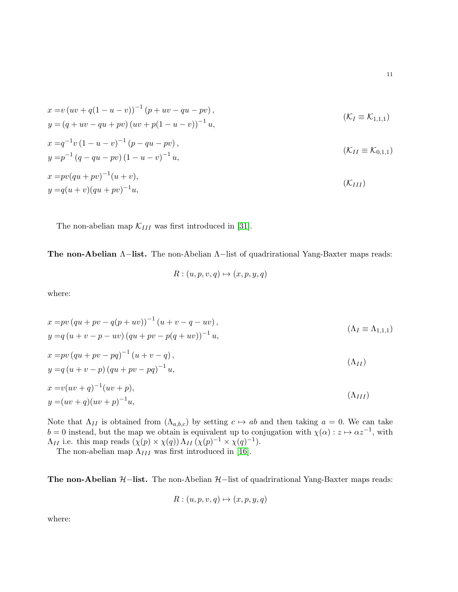$$
x = v (uv + q(1 - u - v))^{-1} (p + uv - qu - pv),
$$
  
\n
$$
y = (q + uv - qu + pv) (uv + p(1 - u - v))^{-1} u,
$$
  
\n
$$
x = q^{-1}v (1 - u - v)^{-1} (p - qu - pv),
$$
  
\n
$$
y = p^{-1} (q - qu - pv) (1 - u - v)^{-1} u,
$$
  
\n
$$
x = pv (qu + pv)^{-1} (u + v),
$$
  
\n
$$
y = q(u + v) (qu + pv)^{-1} u,
$$
  
\n
$$
(K_{III})
$$

The non-abelian map  $\mathcal{K}_{III}$  was first introduced in [\[31\]](#page-12-13).

The non-Abelian Λ–list. The non-Abelian Λ–list of quadrirational Yang-Baxter maps reads:

$$
R: (u, p, v, q) \mapsto (x, p, y, q)
$$

where:

$$
x = pv (qu + pv - q(p + uv))^{-1} (u + v - q - uv),
$$
  
\n
$$
y = q (u + v - p - uv) (qu + pv - p(q + uv))^{-1} u,
$$
  
\n
$$
x = pv (qu + pv - pq)^{-1} (u + v - q),
$$
  
\n
$$
y = q (u + v - p) (qu + pv - pq)^{-1} u,
$$
  
\n
$$
x = v(uv + q)^{-1} (uv + p),
$$
  
\n
$$
y = (uv + q)(uv + p)^{-1} u,
$$
  
\n
$$
(A_{III})
$$
  
\n
$$
(A_{III})
$$

Note that  $\Lambda_{II}$  is obtained from  $(\Lambda_{a,b,c})$  by setting  $c \mapsto ab$  and then taking  $a = 0$ . We can take  $b = 0$  instead, but the map we obtain is equivalent up to conjugation with  $\chi(\alpha): z \mapsto \alpha z^{-1}$ , with  $\Lambda_{II}$  i.e. this map reads  $(\chi(p) \times \chi(q)) \Lambda_{II} (\chi(p)^{-1} \times \chi(q)^{-1}).$ 

The non-abelian map  $\Lambda_{III}$  was first introduced in [\[16\]](#page-11-15).

The non-Abelian  $H$ –list. The non-Abelian  $H$ –list of quadrirational Yang-Baxter maps reads:

$$
R: (u, p, v, q) \mapsto (x, p, y, q)
$$

where: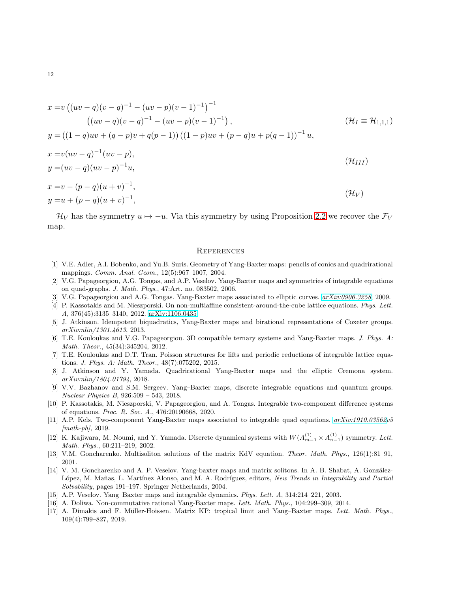$$
x = v ((uv - q)(v - q)^{-1} - (uv - p)(v - 1)^{-1})^{-1}
$$
  
\n
$$
((uv - q)(v - q)^{-1} - (uv - p)(v - 1)^{-1}),
$$
  
\n
$$
y = ((1 - q)uv + (q - p)v + q(p - 1)) ((1 - p)uv + (p - q)u + p(q - 1))^{-1} u,
$$
  
\n
$$
x = v(uv - q)^{-1}(uv - p),
$$
  
\n
$$
y = (uv - q)(uv - p)^{-1}u,
$$
  
\n
$$
x = v - (p - q)(u + v)^{-1},
$$
  
\n
$$
y = u + (p - q)(u + v)^{-1},
$$
  
\n
$$
(u, v)
$$
  
\n
$$
(u, v)
$$
  
\n
$$
y = u + (p - q)(u + v)^{-1},
$$
  
\n
$$
(u, v)
$$

 $\mathcal{H}_V$  has the symmetry  $u \mapsto -u$ . Via this symmetry by using Proposition [2.2](#page-1-1) we recover the  $\mathcal{F}_V$ map.

### **REFERENCES**

- <span id="page-11-0"></span>[1] V.E. Adler, A.I. Bobenko, and Yu.B. Suris. Geometry of Yang-Baxter maps: pencils of conics and quadrirational mappings. *Comm. Anal. Geom.*, 12(5):967–1007, 2004.
- <span id="page-11-1"></span>[2] V.G. Papageorgiou, A.G. Tongas, and A.P. Veselov. Yang-Baxter maps and symmetries of integrable equations on quad-graphs. *J. Math. Phys.*, 47:Art. no. 083502, 2006.
- <span id="page-11-3"></span><span id="page-11-2"></span>[3] V.G. Papageorgiou and A.G. Tongas. Yang-Baxter maps associated to elliptic curves. *[arXiv:0906.3258](http://arxiv.org/abs/0906.3258)*, 2009.
- [4] P. Kassotakis and M. Nieszporski. On non-multiaffine consistent-around-the-cube lattice equations. *Phys. Lett. A*, 376(45):3135–3140, 2012. [arXiv:1106.0435.](http://arxiv.org/abs/1106.0435)
- <span id="page-11-4"></span>[5] J. Atkinson. Idempotent biquadratics, Yang-Baxter maps and birational representations of Coxeter groups. *arXiv:nlin/1301.4613*, 2013.
- <span id="page-11-5"></span>[6] T.E. Kouloukas and V.G. Papageorgiou. 3D compatible ternary systems and Yang-Baxter maps. *J. Phys. A: Math. Theor.*, 45(34):345204, 2012.
- <span id="page-11-6"></span>[7] T.E. Kouloukas and D.T. Tran. Poisson structures for lifts and periodic reductions of integrable lattice equations. *J. Phys. A: Math. Theor.*, 48(7):075202, 2015.
- <span id="page-11-7"></span>[8] J. Atkinson and Y. Yamada. Quadrirational Yang-Baxter maps and the elliptic Cremona system. *arXiv:nlin/1804.01794*, 2018.
- <span id="page-11-8"></span>[9] V.V. Bazhanov and S.M. Sergeev. Yang–Baxter maps, discrete integrable equations and quantum groups. *Nuclear Physics B*, 926:509 – 543, 2018.
- <span id="page-11-9"></span>[10] P. Kassotakis, M. Nieszporski, V. Papageorgiou, and A. Tongas. Integrable two-component difference systems of equations. *Proc. R. Soc. A.*, 476:20190668, 2020.
- <span id="page-11-10"></span>[11] A.P. Kels. Two-component Yang-Baxter maps associated to integrable quad equations. *[arXiv:1910.03562v](http://arxiv.org/abs/1910.03562)5 [math-ph]*, 2019.
- <span id="page-11-11"></span>[12] K. Kajiwara, M. Noumi, and Y. Yamada. Discrete dynamical systems with  $W(A_{m-1}^{(1)} \times A_{n-1}^{(1)})$  symmetry. Lett. *Math. Phys.*, 60:211–219, 2002.
- <span id="page-11-13"></span><span id="page-11-12"></span>[13] V.M. Goncharenko. Multisoliton solutions of the matrix KdV equation. *Theor. Math. Phys.*, 126(1):81–91, 2001.
- [14] V. M. Goncharenko and A. P. Veselov. Yang-baxter maps and matrix solitons. In A. B. Shabat, A. González-López, M. Mañas, L. Martínez Alonso, and M. A. Rodríguez, editors, *New Trends in Integrability and Partial Solvability*, pages 191–197. Springer Netherlands, 2004.
- <span id="page-11-15"></span><span id="page-11-14"></span>[15] A.P. Veselov. Yang–Baxter maps and integrable dynamics. *Phys. Lett. A*, 314:214–221, 2003.
- <span id="page-11-16"></span>[16] A. Doliwa. Non-commutative rational Yang-Baxter maps. *Lett. Math. Phys.*, 104:299–309, 2014.
- [17] A. Dimakis and F. Müller-Hoissen. Matrix KP: tropical limit and Yang–Baxter maps. Lett. Math. Phys., 109(4):799–827, 2019.